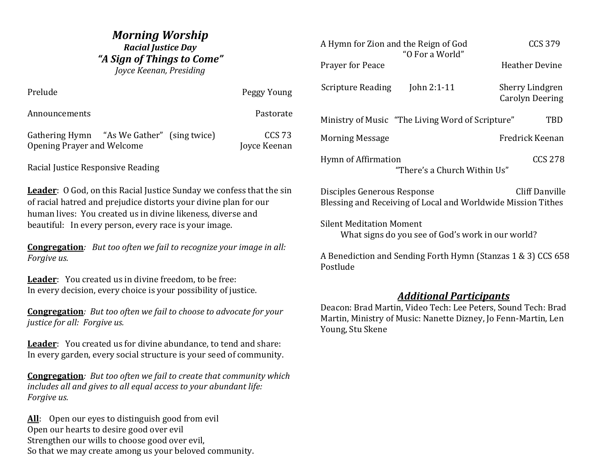# *Morning Worship Racial Justice Day "A Sign of Things to Come" Joyce Keenan, Presiding*

Prelude Peggy Young Announcements **Pastorate** Pastorate Gathering Hymn "As We Gather" (sing twice) CCS 73 Opening Prayer and Welcome Joyce Keenan Racial Justice Responsive Reading **Leader**: O God, on this Racial Justice Sunday we confess that the sin of racial hatred and prejudice distorts your divine plan for our human lives: You created us in divine likeness, diverse and beautiful: In every person, every race is your image. **Congregation***: But too often we fail to recognize your image in all:*

*Forgive us.*

Leader: You created us in divine freedom, to be free: In every decision, every choice is your possibility of justice.

**Congregation***: But too often we fail to choose to advocate for your justice for all: Forgive us.*

**Leader**: You created us for divine abundance, to tend and share: In every garden, every social structure is your seed of community.

**Congregation***: But too often we fail to create that community which includes all and gives to all equal access to your abundant life: Forgive us.*

All: Open our eyes to distinguish good from evil Open our hearts to desire good over evil Strengthen our wills to choose good over evil, So that we may create among us your beloved community.

| A Hymn for Zion and the Reign of God<br>"O For a World"                                                              | <b>CCS 379</b>                                   |
|----------------------------------------------------------------------------------------------------------------------|--------------------------------------------------|
| Prayer for Peace                                                                                                     | <b>Heather Devine</b>                            |
| <b>Scripture Reading</b><br>John $2:1-11$                                                                            | <b>Sherry Lindgren</b><br><b>Carolyn Deering</b> |
| Ministry of Music "The Living Word of Scripture"                                                                     | TBD                                              |
| <b>Morning Message</b>                                                                                               | Fredrick Keenan                                  |
| Hymn of Affirmation<br>"There's a Church Within Us"                                                                  | <b>CCS 278</b>                                   |
| <b>Cliff Danville</b><br>Disciples Generous Response<br>Blessing and Receiving of Local and Worldwide Mission Tithes |                                                  |
| <b>Silent Meditation Moment</b><br>What signs do you see of God's work in our world?                                 |                                                  |
| A Benediction and Sending Forth Hymn (Stanzas 1 & 3) CCS 658<br>Postlude                                             |                                                  |

# *Additional Participants*

Deacon: Brad Martin, Video Tech: Lee Peters, Sound Tech: Brad Martin, Ministry of Music: Nanette Dizney, Jo Fenn-Martin, Len Young, Stu Skene